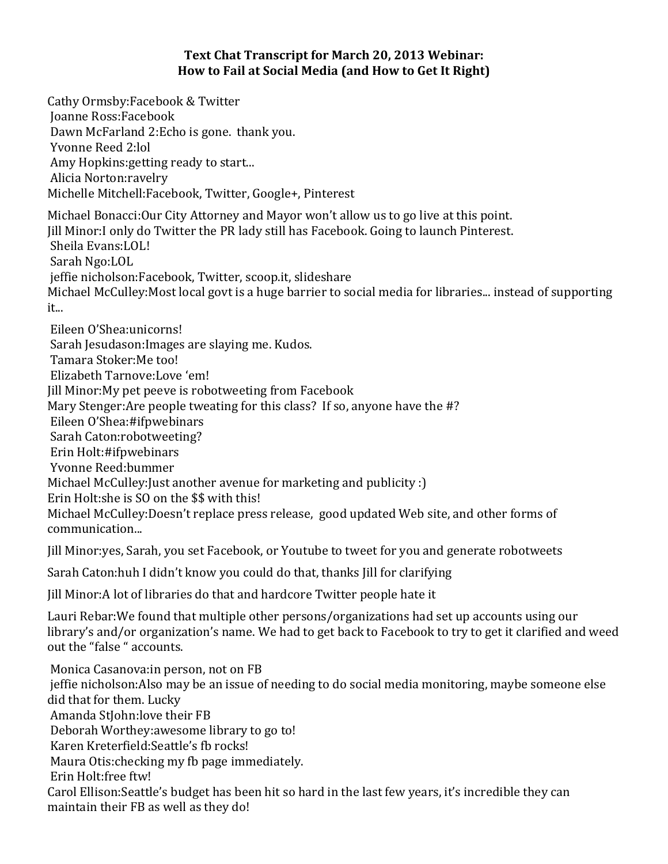## Text Chat Transcript for March 20, 2013 Webinar: How to Fail at Social Media (and How to Get It Right)

Cathy Ormsby: Facebook & Twitter Joanne 
 Ross:Facebook Dawn McFarland 2:Echo is gone. thank you. Yvonne Reed 2:lol Amy Hopkins: getting ready to start... Alicia Norton: ravelry Michelle Mitchell: Facebook, Twitter, Google+, Pinterest Michael Bonacci: Our City Attorney and Mayor won't allow us to go live at this point. Iill Minor: I only do Twitter the PR lady still has Facebook. Going to launch Pinterest. Sheila Evans:LOL! Sarah Ngo:LOL jeffie nicholson:Facebook, Twitter, scoop.it, slideshare Michael McCulley: Most local govt is a huge barrier to social media for libraries... instead of supporting it... Eileen O'Shea:unicorns! Sarah Jesudason: Images are slaying me. Kudos. Tamara Stoker: Me too! Elizabeth Tarnove:Love 'em! Jill Minor: My pet peeve is robotweeting from Facebook Mary Stenger: Are people tweating for this class? If so, anyone have the #? Eileen O'Shea:#ifpwebinars Sarah Caton:robotweeting? Erin Holt:#ifpwebinars Yvonne Reed: bummer Michael McCulley: Just another avenue for marketing and publicity : ) Erin Holt:she is SO on the \$\$ with this! Michael McCulley: Doesn't replace press release, good updated Web site, and other forms of communication... Jill Minor: yes, Sarah, you set Facebook, or Youtube to tweet for you and generate robotweets

Sarah Caton:huh I didn't know you could do that, thanks Jill for clarifying

Jill Minor: A lot of libraries do that and hardcore Twitter people hate it

Lauri Rebar: We found that multiple other persons/organizations had set up accounts using our library's and/or organization's name. We had to get back to Facebook to try to get it clarified and weed out the "false " accounts.

Monica Casanova: in person, not on FB jeffie nicholson: Also may be an issue of needing to do social media monitoring, maybe someone else did that for them. Lucky Amanda StJohn: love their FB Deborah Worthey: awesome library to go to! Karen Kreterfield: Seattle's fb rocks! Maura Otis: checking my fb page immediately. Erin Holt: free ftw! Carol Ellison: Seattle's budget has been hit so hard in the last few years, it's incredible they can maintain their FB as well as they do!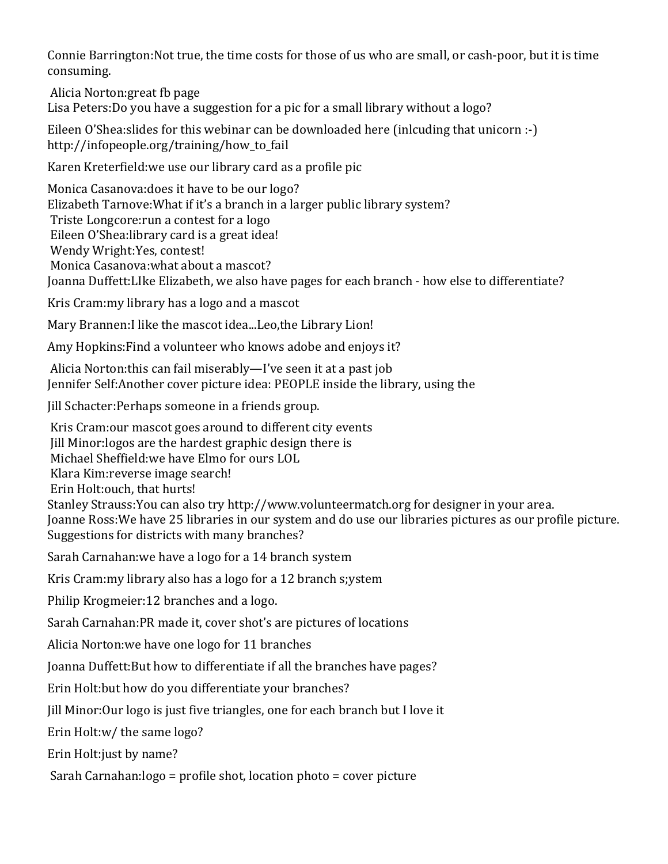Connie Barrington: Not true, the time costs for those of us who are small, or cash-poor, but it is time consuming.

Alicia Norton: great fb page Lisa Peters: Do you have a suggestion for a pic for a small library without a logo?

Eileen O'Shea: slides for this webinar can be downloaded here (inlcuding that unicorn  $:-$ ) http://infopeople.org/training/how\_to\_fail

Karen Kreterfield: we use our library card as a profile pic

Monica Casanova: does it have to be our logo? Elizabeth Tarnove: What if it's a branch in a larger public library system? Triste Longcore: run a contest for a logo Eileen O'Shea: library card is a great idea! Wendy Wright: Yes, contest! Monica Casanova: what about a mascot? Joanna Duffett: Like Elizabeth, we also have pages for each branch - how else to differentiate?

Kris Cram: my library has a logo and a mascot

Mary Brannen: I like the mascot idea...Leo, the Library Lion!

Amy Hopkins: Find a volunteer who knows adobe and enjoys it?

Alicia Norton: this can fail miserably—I've seen it at a past job Jennifer Self: Another cover picture idea: PEOPLE inside the library, using the

Iill Schacter: Perhaps someone in a friends group.

Kris Cram: our mascot goes around to different city events Iill Minor: logos are the hardest graphic design there is Michael Sheffield: we have Elmo for ours LOL Klara Kim: reverse image search! Erin Holt: ouch, that hurts! Stanley Strauss: You can also try http://www.volunteermatch.org for designer in your area. Joanne Ross: We have 25 libraries in our system and do use our libraries pictures as our profile picture. Suggestions for districts with many branches?

Sarah Carnahan: we have a logo for a 14 branch system

Kris Cram: my library also has a logo for a 12 branch s; y stem

Philip Krogmeier: 12 branches and a logo.

Sarah Carnahan: PR made it, cover shot's are pictures of locations

Alicia Norton: we have one logo for 11 branches

Joanna Duffett: But how to differentiate if all the branches have pages?

Erin Holt: but how do you differentiate your branches?

Jill Minor: Our logo is just five triangles, one for each branch but I love it

Erin Holt:w/ the same logo?

Erin Holt: just by name?

Sarah Carnahan: $logo =$  profile shot, location photo  $=$  cover picture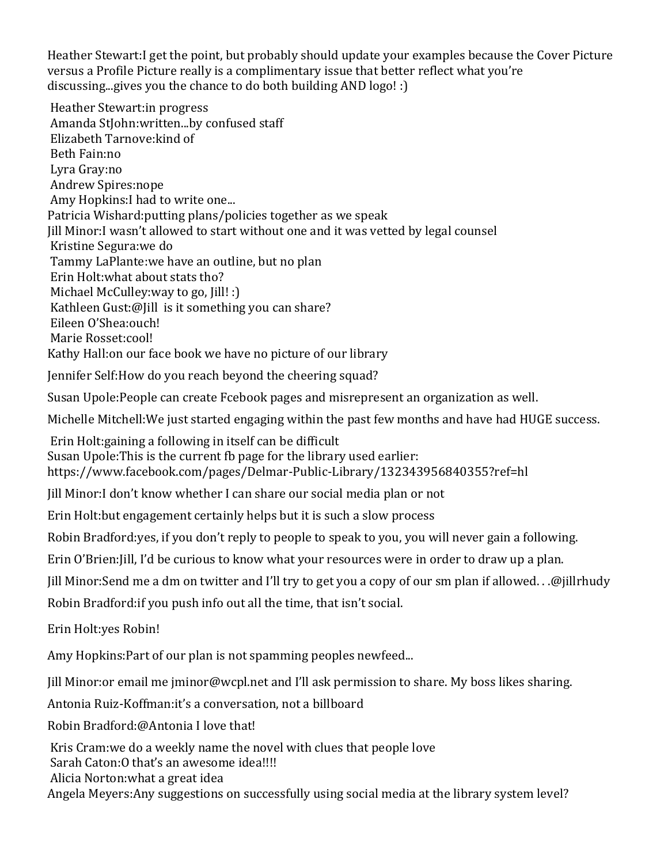Heather Stewart: I get the point, but probably should update your examples because the Cover Picture versus a Profile Picture really is a complimentary issue that better reflect what you're discussing...gives you the chance to do both building AND  $log_0$ ! :)

Heather Stewart: in progress Amanda StJohn:written...by confused staff Elizabeth Tarnove: kind of Beth Fain:no Lyra 
 Gray:no Andrew Spires:nope Amy Hopkins: I had to write one... Patricia Wishard: putting plans/policies together as we speak Iill Minor: I wasn't allowed to start without one and it was vetted by legal counsel Kristine Segura: we do Tammy LaPlante: we have an outline, but no plan Erin Holt: what about stats tho? Michael McCulley: way to go, Jill! :) Kathleen Gust: @ [ill is it something you can share? Eileen O'Shea:ouch! Marie Rosset:cool! Kathy Hall: on our face book we have no picture of our library

Jennifer Self: How do you reach beyond the cheering squad?

Susan Upole: People can create Fcebook pages and misrepresent an organization as well.

Michelle Mitchell: We just started engaging within the past few months and have had HUGE success.

Erin Holt: gaining a following in itself can be difficult Susan Upole: This is the current fb page for the library used earlier: https://www.facebook.com/pages/Delmar-Public-Library/132343956840355?ref=hl

Jill Minor: I don't know whether I can share our social media plan or not

Erin Holt: but engagement certainly helps but it is such a slow process

Robin Bradford: yes, if you don't reply to people to speak to you, you will never gain a following.

Erin O'Brien: [ill, I'd be curious to know what your resources were in order to draw up a plan.

Jill Minor:Send me a dm on twitter and I'll try to get you a copy of our sm plan if allowed. . .@jillrhudy

Robin Bradford: if you push info out all the time, that isn't social.

Erin Holt: ves Robin!

Amy Hopkins: Part of our plan is not spamming peoples newfeed...

Jill Minor: or email me jminor@wcpl.net and I'll ask permission to share. My boss likes sharing.

Antonia Ruiz-Koffman:it's a conversation, not a billboard

Robin Bradford:@Antonia I love that!

Kris Cram: we do a weekly name the novel with clues that people love

Sarah Caton: O that's an awesome idea!!!!

Alicia Norton: what a great idea

Angela Meyers: Any suggestions on successfully using social media at the library system level?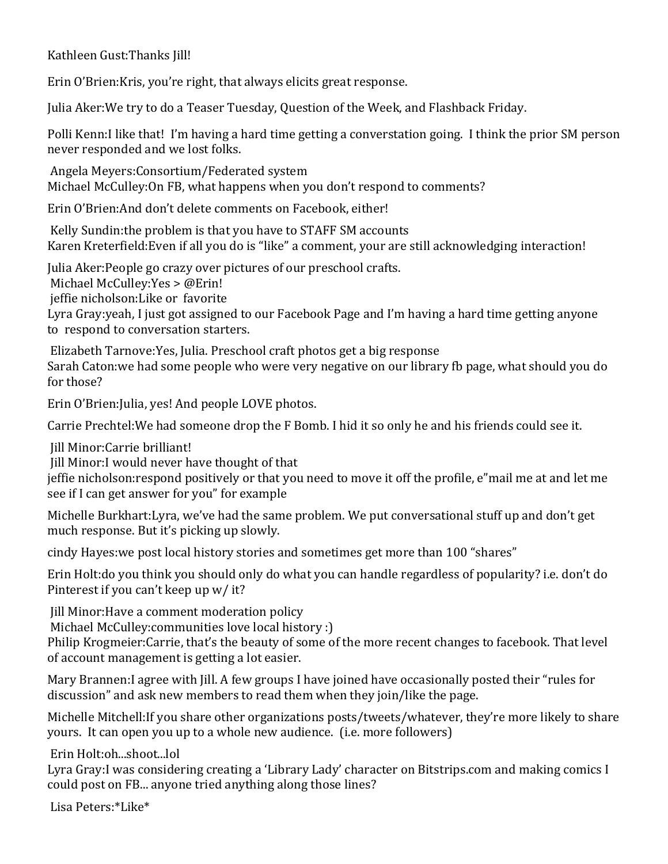Kathleen Gust: Thanks Jill!

Erin O'Brien: Kris, you're right, that always elicits great response.

Julia Aker: We try to do a Teaser Tuesday, Question of the Week, and Flashback Friday.

Polli Kenn: I like that! I'm having a hard time getting a converstation going. I think the prior SM person never responded and we lost folks.

Angela Meyers: Consortium/Federated system Michael McCulley: On FB, what happens when you don't respond to comments?

Erin O'Brien:And don't delete comments on Facebook, either!

Kelly Sundin: the problem is that you have to STAFF SM accounts Karen Kreterfield: Even if all you do is "like" a comment, your are still acknowledging interaction!

Julia Aker: People go crazy over pictures of our preschool crafts.

Michael McCulley: Yes > @Erin!

jeffie nicholson: Like or favorite

Lyra Gray: yeah, I just got assigned to our Facebook Page and I'm having a hard time getting anyone to respond to conversation starters.

Elizabeth Tarnove: Yes, Julia. Preschool craft photos get a big response Sarah Caton: we had some people who were very negative on our library fb page, what should you do for those?

Erin O'Brien: Julia, yes! And people LOVE photos.

Carrie Prechtel: We had someone drop the F Bomb. I hid it so only he and his friends could see it.

Iill Minor: Carrie brilliant!

Jill Minor: I would never have thought of that

jeffie nicholson: respond positively or that you need to move it off the profile, e"mail me at and let me see if I can get answer for you" for example

Michelle Burkhart: Lyra, we've had the same problem. We put conversational stuff up and don't get much response. But it's picking up slowly.

cindy Hayes: we post local history stories and sometimes get more than 100 "shares"

Erin Holt:do you think you should only do what you can handle regardless of popularity? i.e. don't do Pinterest if you can't keep up w/ it?

Jill Minor: Have a comment moderation policy

Michael McCulley:communities love local history :)

Philip Krogmeier: Carrie, that's the beauty of some of the more recent changes to facebook. That level of account management is getting a lot easier.

Mary Brannen: I agree with Jill. A few groups I have joined have occasionally posted their "rules for discussion" and ask new members to read them when they join/like the page.

Michelle Mitchell: If you share other organizations posts/tweets/whatever, they're more likely to share yours. It can open you up to a whole new audience. (i.e. more followers)

Erin Holt:oh...shoot...lol

Lyra Gray: I was considering creating a 'Library Lady' character on Bitstrips.com and making comics I could post on FB... anyone tried anything along those lines?

Lisa Peters:\*Like\*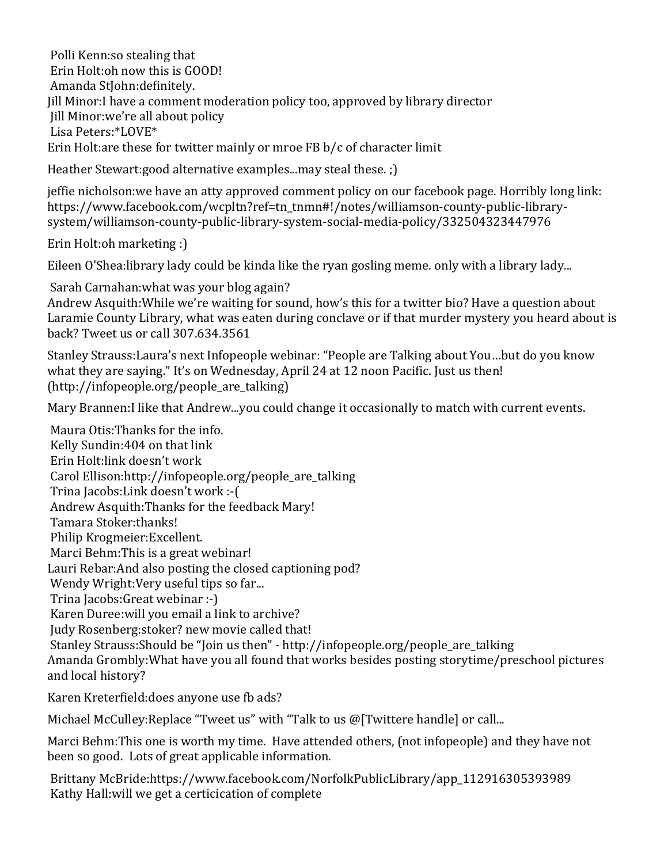Polli Kenn:so stealing that Erin Holt: oh now this is GOOD! Amanda StIohn: definitely. Jill Minor: I have a comment moderation policy too, approved by library director Jill Minor:we're all about policy Lisa Peters:\*LOVE\* Erin Holt: are these for twitter mainly or mroe FB  $b/c$  of character limit

Heather Stewart:good alternative examples...may steal these. ;)

jeffie nicholson: we have an atty approved comment policy on our facebook page. Horribly long link: https://www.facebook.com/wcpltn?ref=tn\_tnmn#!/notes/williamson-county-public-librarysystem/williamson-county-public-library-system-social-media-policy/332504323447976

Erin Holt:oh marketing :)

Eileen O'Shea: library lady could be kinda like the ryan gosling meme. only with a library lady...

Sarah Carnahan: what was your blog again? Andrew Asquith: While we're waiting for sound, how's this for a twitter bio? Have a question about Laramie County Library, what was eaten during conclave or if that murder mystery you heard about is back? Tweet us or call 307.634.3561

Stanley Strauss: Laura's next Infopeople webinar: "People are Talking about You...but do you know what they are saying." It's on Wednesday, April 24 at 12 noon Pacific. Just us then! (http://infopeople.org/people\_are\_talking)

Mary Brannen: I like that Andrew...you could change it occasionally to match with current events.

Maura Otis: Thanks for the info. Kelly Sundin:404 on that link Erin Holt: link doesn't work Carol Ellison:http://infopeople.org/people\_are\_talking Trina Jacobs: Link doesn't work :-( Andrew Asquith: Thanks for the feedback Mary! Tamara Stoker: thanks! Philip Krogmeier: Excellent. Marci Behm: This is a great webinar! Lauri Rebar: And also posting the closed captioning pod? Wendy Wright: Very useful tips so far... Trina Jacobs: Great webinar :-) Karen Duree: will you email a link to archive? Judy Rosenberg: stoker? new movie called that! Stanley Strauss: Should be "Join us then" - http://infopeople.org/people\_are\_talking Amanda Grombly: What have you all found that works besides posting storytime/preschool pictures and local history?

Karen Kreterfield: does anyone use fb ads?

Michael McCulley:Replace "Tweet us" with "Talk to us @[Twittere handle] or call...

Marci Behm: This one is worth my time. Have attended others, (not infopeople) and they have not been so good. Lots of great applicable information.

Brittany McBride:https://www.facebook.com/NorfolkPublicLibrary/app\_112916305393989 Kathy Hall: will we get a certicication of complete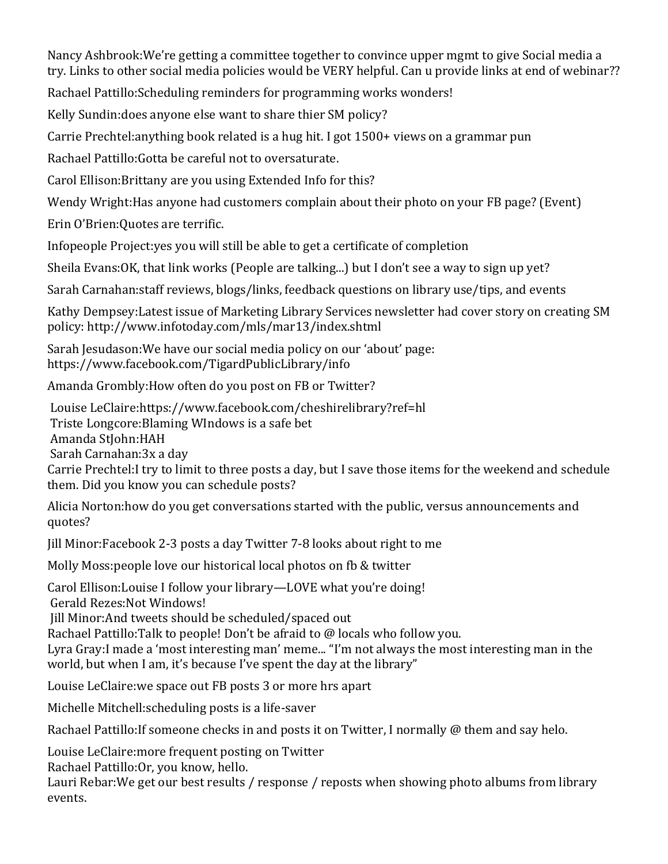Nancy Ashbrook: We're getting a committee together to convince upper mgmt to give Social media a try. Links to other social media policies would be VERY helpful. Can u provide links at end of webinar??

Rachael Pattillo: Scheduling reminders for programming works wonders!

Kelly Sundin: does anyone else want to share thier SM policy?

Carrie Prechtel: anything book related is a hug hit. I got 1500+ views on a grammar pun

Rachael Pattillo: Gotta be careful not to oversaturate.

Carol Ellison: Brittany are you using Extended Info for this?

Wendy Wright: Has anyone had customers complain about their photo on your FB page? (Event)

Erin O'Brien: Quotes are terrific.

Infopeople Project: yes you will still be able to get a certificate of completion

Sheila Evans: OK, that link works (People are talking...) but I don't see a way to sign up yet?

Sarah Carnahan: staff reviews, blogs/links, feedback questions on library use/tips, and events

Kathy Dempsey: Latest issue of Marketing Library Services newsletter had cover story on creating SM policy: 
 http://www.infotoday.com/mls/mar13/index.shtml

Sarah Jesudason: We have our social media policy on our 'about' page: https://www.facebook.com/TigardPublicLibrary/info

Amanda Grombly: How often do you post on FB or Twitter?

Louise LeClaire:https://www.facebook.com/cheshirelibrary?ref=hl Triste Longcore: Blaming WIndows is a safe bet Amanda 
 StJohn:HAH Sarah Carnahan: 3x a day Carrie Prechtel: I try to limit to three posts a day, but I save those items for the weekend and schedule them. Did you know you can schedule posts?

Alicia Norton: how do you get conversations started with the public, versus announcements and quotes?

Jill Minor: Facebook 2-3 posts a day Twitter 7-8 looks about right to me

Molly Moss: people love our historical local photos on fb & twitter

Carol Ellison: Louise I follow your library—LOVE what you're doing! Gerald Rezes: Not Windows!

Jill Minor: And tweets should be scheduled/spaced out

Rachael Pattillo: Talk to people! Don't be afraid to @ locals who follow you.

Lyra Gray: I made a 'most interesting man' meme... "I'm not always the most interesting man in the world, but when I am, it's because I've spent the day at the library"

Louise LeClaire: we space out FB posts 3 or more hrs apart

Michelle Mitchell: scheduling posts is a life-saver

Rachael Pattillo: If someone checks in and posts it on Twitter, I normally @ them and say helo.

Louise LeClaire: more frequent posting on Twitter

Rachael Pattillo: Or, you know, hello.

Lauri Rebar: We get our best results / response / reposts when showing photo albums from library events.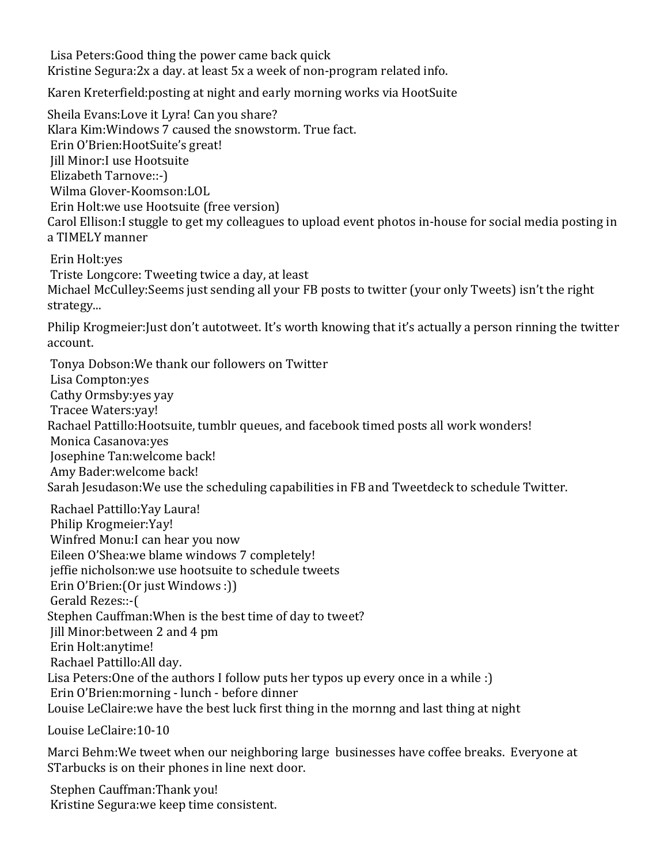Lisa Peters: Good thing the power came back quick Kristine Segura:2x a day. at least 5x a week of non-program related info.

Karen Kreterfield:posting at night and early morning works via HootSuite

Sheila Evans: Love it Lyra! Can you share? Klara Kim: Windows 7 caused the snowstorm. True fact. Erin O'Brien: HootSuite's great! Iill Minor: I use Hootsuite Elizabeth Tarnove::-) Wilma Glover-Koomson:LOL Erin Holt: we use Hootsuite (free version) Carol Ellison: I stuggle to get my colleagues to upload event photos in-house for social media posting in a TIMELY manner

Erin Holt:yes Triste Longcore: Tweeting twice a day, at least Michael McCulley: Seems just sending all your FB posts to twitter (your only Tweets) isn't the right strategy...

Philip Krogmeier: Just don't autotweet. It's worth knowing that it's actually a person rinning the twitter account.

Tonya Dobson: We thank our followers on Twitter Lisa Compton: ves Cathy Ormsby: yes yay Tracee 
 Waters:yay! Rachael Pattillo: Hootsuite, tumblr queues, and facebook timed posts all work wonders! Monica Casanova: ves Josephine Tan:welcome back! Amy Bader: welcome back! Sarah Jesudason: We use the scheduling capabilities in FB and Tweetdeck to schedule Twitter.

Rachael Pattillo: Yay Laura! Philip Krogmeier: Yay! Winfred Monu: I can hear you now Eileen O'Shea:we blame windows 7 completely! jeffie nicholson: we use hootsuite to schedule tweets Erin O'Brien: (Or just Windows :)) Gerald Rezes::-( Stephen Cauffman: When is the best time of day to tweet? Jill Minor: between 2 and 4 pm Erin Holt: anytime! Rachael Pattillo: All day. Lisa Peters: One of the authors I follow puts her typos up every once in a while : ) Erin O'Brien: morning - lunch - before dinner Louise LeClaire: we have the best luck first thing in the mornng and last thing at night

Louise LeClaire: 10-10

Marci Behm: We tweet when our neighboring large businesses have coffee breaks. Everyone at STarbucks is on their phones in line next door.

Stephen Cauffman: Thank you! Kristine Segura: we keep time consistent.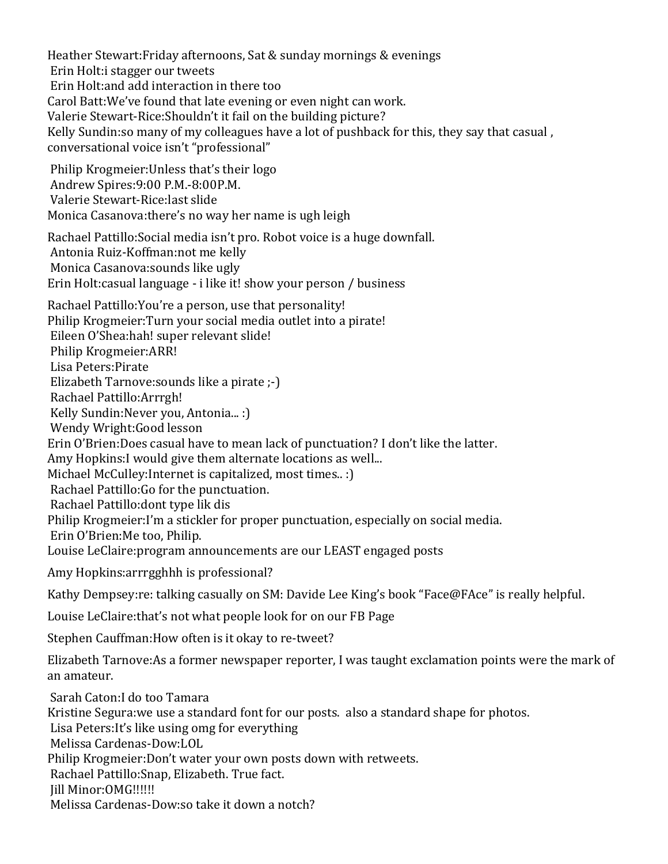Heather Stewart: Friday afternoons, Sat & sunday mornings & evenings Erin Holt: i stagger our tweets Erin Holt: and add interaction in there too Carol Batt: We've found that late evening or even night can work. Valerie Stewart-Rice: Shouldn't it fail on the building picture? Kelly Sundin: so many of my colleagues have a lot of pushback for this, they say that casual, conversational voice isn't "professional" Philip Krogmeier: Unless that's their logo Andrew Spires: 9:00 P.M. - 8:00 P.M. Valerie Stewart-Rice: last slide Monica Casanova: there's no way her name is ugh leigh Rachael Pattillo: Social media isn't pro. Robot voice is a huge downfall. Antonia Ruiz-Koffman:not me kelly Monica Casanova: sounds like ugly Erin Holt: casual language - i like it! show your person / business Rachael Pattillo: You're a person, use that personality! Philip Krogmeier: Turn your social media outlet into a pirate! Eileen O'Shea:hah! super relevant slide! Philip Krogmeier: ARR! Lisa 
 Peters:Pirate Elizabeth Tarnove: sounds like a pirate ;-) Rachael Pattillo: Arrrgh! Kelly Sundin: Never you, Antonia... : ) Wendy Wright: Good lesson Erin O'Brien: Does casual have to mean lack of punctuation? I don't like the latter. Amy Hopkins: I would give them alternate locations as well... Michael McCulley: Internet is capitalized, most times.. : ) Rachael Pattillo: Go for the punctuation. Rachael Pattillo: dont type lik dis Philip Krogmeier:I'm a stickler for proper punctuation, especially on social media. Erin O'Brien: Me too, Philip. Louise LeClaire: program announcements are our LEAST engaged posts Amy Hopkins: arrrgghhh is professional? Kathy Dempsey:re: talking casually on SM: Davide Lee King's book "Face@FAce" is really helpful. Louise LeClaire: that's not what people look for on our FB Page Stephen Cauffman: How often is it okay to re-tweet? Elizabeth Tarnove: As a former newspaper reporter, I was taught exclamation points were the mark of an amateur. Sarah Caton: I do too Tamara Kristine Segura: we use a standard font for our posts. also a standard shape for photos. Lisa Peters: It's like using omg for everything Melissa Cardenas-Dow:LOL Philip Krogmeier: Don't water your own posts down with retweets. Rachael Pattillo: Snap, Elizabeth. True fact. Iill Minor: OMG!!!!!!! Melissa Cardenas-Dow:so take it down a notch?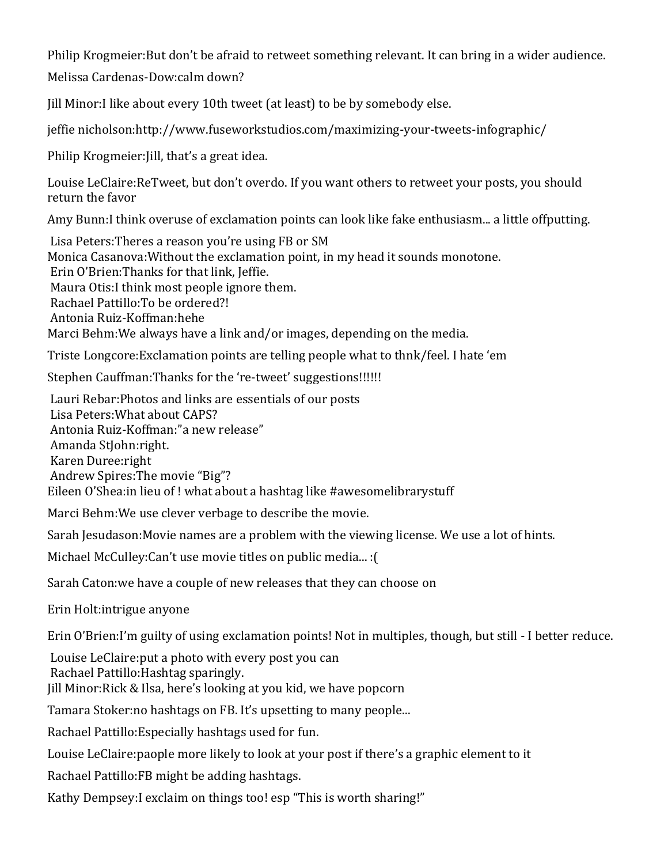Philip Krogmeier: But don't be afraid to retweet something relevant. It can bring in a wider audience.

Melissa Cardenas-Dow:calm down?

Jill Minor: I like about every 10th tweet (at least) to be by somebody else.

jeffie nicholson:http://www.fuseworkstudios.com/maximizing-your-tweets-infographic/

Philip Krogmeier: Jill, that's a great idea.

Louise LeClaire:ReTweet, but don't overdo. If you want others to retweet your posts, you should return the favor

Amy Bunn: I think overuse of exclamation points can look like fake enthusiasm... a little offputting.

Lisa Peters: Theres a reason you're using FB or SM Monica Casanova: Without the exclamation point, in my head it sounds monotone. Erin O'Brien: Thanks for that link, Jeffie. Maura Otis: I think most people ignore them. Rachael Pattillo: To be ordered?! Antonia Ruiz-Koffman:hehe Marci Behm: We always have a link and/or images, depending on the media.

Triste Longcore: Exclamation points are telling people what to thnk/feel. I hate 'em

Stephen Cauffman: Thanks for the 're-tweet' suggestions!!!!!!

Lauri Rebar: Photos and links are essentials of our posts Lisa Peters: What about CAPS? Antonia Ruiz-Koffman:" a new release" Amanda StJohn:right. Karen 
 Duree:right Andrew Spires: The movie "Big"? Eileen O'Shea: in lieu of ! what about a hashtag like #awesomelibrarystuff

Marci Behm: We use clever verbage to describe the movie.

Sarah Jesudason: Movie names are a problem with the viewing license. We use a lot of hints.

Michael McCulley:Can't use movie titles on public media... : [

Sarah Caton: we have a couple of new releases that they can choose on

Erin Holt: intrigue anyone

Erin O'Brien:I'm guilty of using exclamation points! Not in multiples, though, but still - I better reduce.

Louise LeClaire: put a photo with every post you can Rachael Pattillo: Hashtag sparingly.

Jill Minor: Rick & Ilsa, here's looking at you kid, we have popcorn

Tamara Stoker:no hashtags on FB. It's upsetting to many people...

Rachael Pattillo: Especially hashtags used for fun.

Louise LeClaire: paople more likely to look at your post if there's a graphic element to it

Rachael Pattillo: FB might be adding hashtags.

Kathy Dempsey: I exclaim on things too! esp "This is worth sharing!"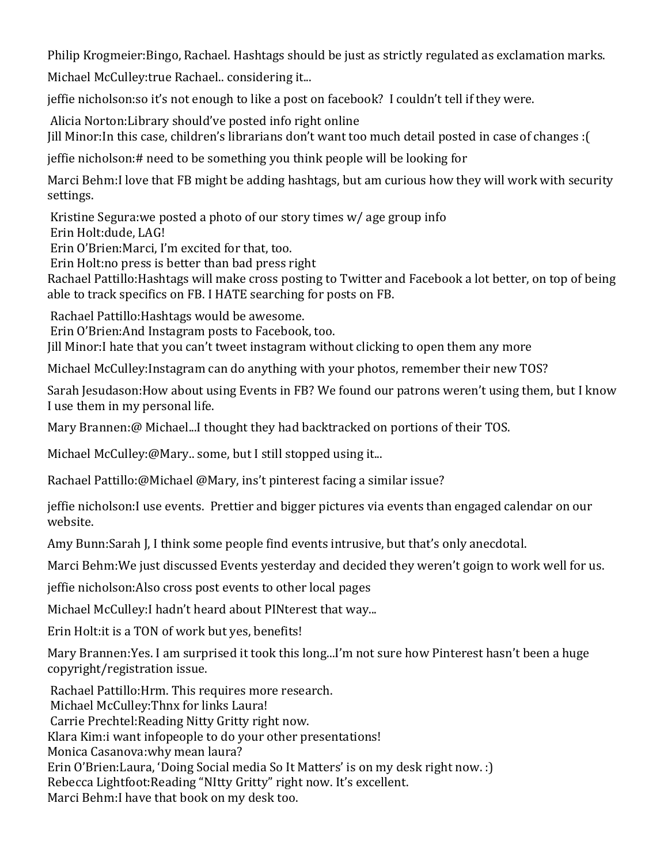Philip Krogmeier: Bingo, Rachael. Hashtags should be just as strictly regulated as exclamation marks.

Michael McCulley: true Rachael.. considering it...

jeffie nicholson:so it's not enough to like a post on facebook? I couldn't tell if they were.

Alicia Norton: Library should've posted info right online Jill Minor: In this case, children's librarians don't want too much detail posted in case of changes : (

jeffie nicholson: # need to be something you think people will be looking for

Marci Behm: I love that FB might be adding hashtags, but am curious how they will work with security settings.

Kristine Segura: we posted a photo of our story times  $w/$  age group info Erin Holt:dude, LAG!

Erin O'Brien: Marci, I'm excited for that, too.

Erin Holt:no press is better than bad press right

Rachael Pattillo: Hashtags will make cross posting to Twitter and Facebook a lot better, on top of being able to track specifics on FB. I HATE searching for posts on FB.

Rachael Pattillo: Hashtags would be awesome.

Erin O'Brien: And Instagram posts to Facebook, too.

Jill Minor: I hate that you can't tweet instagram without clicking to open them any more

Michael McCulley: Instagram can do anything with your photos, remember their new TOS?

Sarah Jesudason: How about using Events in FB? We found our patrons weren't using them, but I know I use them in my personal life.

Mary Brannen:@ Michael...I thought they had backtracked on portions of their TOS.

Michael McCulley:@Mary.. some, but I still stopped using it...

Rachael Pattillo:@Michael @Mary, ins't pinterest facing a similar issue?

jeffie nicholson: I use events. Prettier and bigger pictures via events than engaged calendar on our website.

Amy Bunn: Sarah J, I think some people find events intrusive, but that's only anecdotal.

Marci Behm: We just discussed Events yesterday and decided they weren't goign to work well for us.

jeffie nicholson: Also cross post events to other local pages

Michael McCulley: I hadn't heard about PINterest that way...

Erin Holt: it is a TON of work but yes, benefits!

Mary Brannen: Yes. I am surprised it took this long...I'm not sure how Pinterest hasn't been a huge copyright/registration issue.

Rachael Pattillo: Hrm. This requires more research.

Michael McCulley: Thnx for links Laura!

Carrie Prechtel: Reading Nitty Gritty right now.

Klara Kim: i want infopeople to do your other presentations!

Monica Casanova: why mean laura?

Erin O'Brien: Laura, 'Doing Social media So It Matters' is on my desk right now. : )

Rebecca Lightfoot:Reading "NItty Gritty" right now. It's excellent.

Marci Behm: I have that book on my desk too.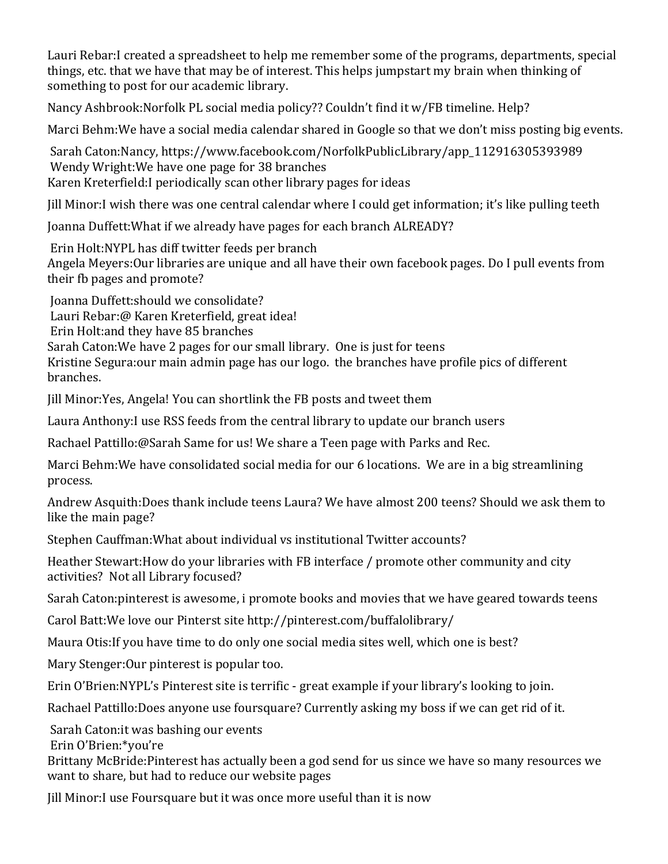Lauri Rebar: I created a spreadsheet to help me remember some of the programs, departments, special things, etc. that we have that may be of interest. This helps jumpstart my brain when thinking of something to post for our academic library.

Nancy Ashbrook: Norfolk PL social media policy?? Couldn't find it w/FB timeline. Help?

Marci Behm: We have a social media calendar shared in Google so that we don't miss posting big events.

Sarah Caton:Nancy, https://www.facebook.com/NorfolkPublicLibrary/app\_112916305393989 Wendy Wright: We have one page for 38 branches Karen Kreterfield: I periodically scan other library pages for ideas

Iill Minor: I wish there was one central calendar where I could get information; it's like pulling teeth

Joanna Duffett: What if we already have pages for each branch ALREADY?

Erin Holt: NYPL has diff twitter feeds per branch Angela Meyers: Our libraries are unique and all have their own facebook pages. Do I pull events from their fb pages and promote?

Joanna Duffett:should we consolidate? Lauri Rebar:@ Karen Kreterfield, great idea! Erin Holt: and they have 85 branches Sarah Caton: We have 2 pages for our small library. One is just for teens Kristine Segura: our main admin page has our logo. the branches have profile pics of different branches.

Jill Minor: Yes, Angela! You can shortlink the FB posts and tweet them

Laura Anthony: I use RSS feeds from the central library to update our branch users

Rachael Pattillo:@Sarah Same for us! We share a Teen page with Parks and Rec.

Marci Behm: We have consolidated social media for our 6 locations. We are in a big streamlining process.

Andrew Asquith: Does thank include teens Laura? We have almost 200 teens? Should we ask them to like the main page?

Stephen Cauffman: What about individual vs institutional Twitter accounts?

Heather Stewart: How do your libraries with FB interface / promote other community and city activities? Not all Library focused?

Sarah Caton: pinterest is awesome, i promote books and movies that we have geared towards teens

Carol Batt: We love our Pinterst site http://pinterest.com/buffalolibrary/

Maura Otis: If you have time to do only one social media sites well, which one is best?

Mary Stenger: Our pinterest is popular too.

Erin O'Brien:NYPL's Pinterest site is terrific - great example if your library's looking to join.

Rachael Pattillo:Does anyone use foursquare? Currently asking my boss if we can get rid of it.

Sarah Caton: it was bashing our events

Erin 
 O'Brien:\*you're

Brittany McBride: Pinterest has actually been a god send for us since we have so many resources we want to share, but had to reduce our website pages

Iill Minor: I use Foursquare but it was once more useful than it is now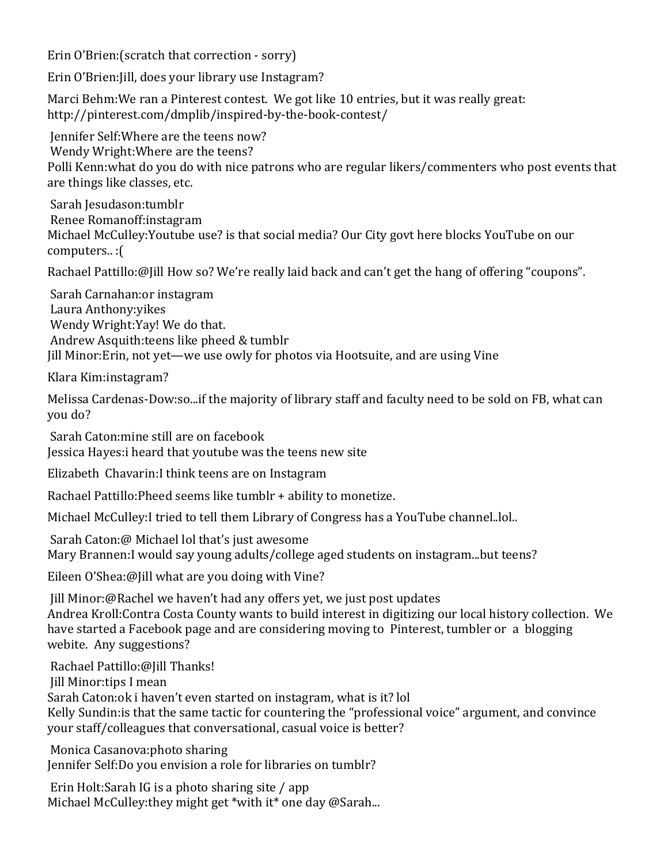Erin O'Brien: (scratch that correction - sorry)

Erin O'Brien: [ill, does your library use Instagram?

Marci Behm: We ran a Pinterest contest. We got like 10 entries, but it was really great: http://pinterest.com/dmplib/inspired-by-the-book-contest/

Jennifer Self: Where are the teens now? Wendy Wright: Where are the teens? Polli Kenn: what do you do with nice patrons who are regular likers/commenters who post events that are things like classes, etc.

Sarah Jesudason:tumblr Renee 
 Romanoff:instagram Michael McCulley: Youtube use? is that social media? Our City govt here blocks YouTube on our computers..: [

Rachael Pattillo:@Jill How so? We're really laid back and can't get the hang of offering "coupons".

Sarah Carnahan: or instagram Laura Anthony: yikes Wendy Wright:Yay! We do that. Andrew Asquith: teens like pheed & tumblr Jill Minor: Erin, not yet—we use owly for photos via Hootsuite, and are using Vine

Klara Kim: instagram?

Melissa Cardenas-Dow:so...if the majority of library staff and faculty need to be sold on FB, what can you do?

Sarah Caton: mine still are on facebook

Jessica Hayes: i heard that youtube was the teens new site

Elizabeth Chavarin: I think teens are on Instagram

Rachael Pattillo: Pheed seems like tumblr + ability to monetize.

Michael McCulley: I tried to tell them Library of Congress has a YouTube channel..lol..

Sarah Caton:@ Michael lol that's just awesome Mary Brannen: I would say young adults/college aged students on instagram...but teens?

Eileen O'Shea: @ [ill what are you doing with Vine?

Jill Minor:@Rachel we haven't had any offers yet, we just post updates Andrea Kroll: Contra Costa County wants to build interest in digitizing our local history collection. We have started a Facebook page and are considering moving to Pinterest, tumbler or a blogging webite. Any suggestions?

Rachael Pattillo:@Jill Thanks! Jill Minor: tips I mean Sarah Caton:ok i haven't even started on instagram, what is it? lol Kelly Sundin: is that the same tactic for countering the "professional voice" argument, and convince your staff/colleagues that conversational, casual voice is better?

Monica Casanova: photo sharing Jennifer Self: Do you envision a role for libraries on tumblr?

Erin Holt:Sarah IG is a photo sharing site / app Michael McCulley: they might get \*with it \* one day @ Sarah...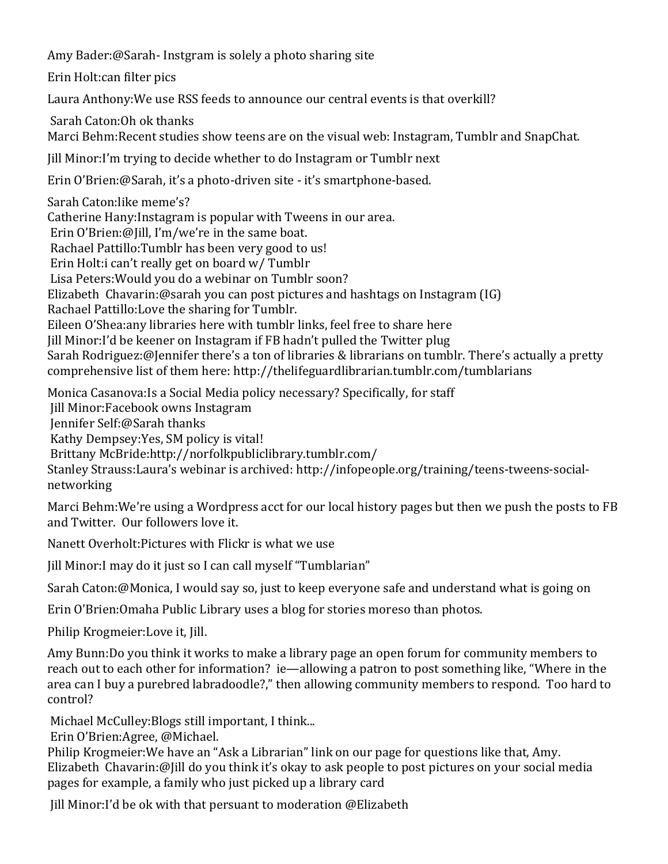Amy Bader:@Sarah-Instgram is solely a photo sharing site

Erin Holt: can filter pics

Laura Anthony: We use RSS feeds to announce our central events is that overkill?

Sarah Caton: Oh ok thanks

Marci Behm: Recent studies show teens are on the visual web: Instagram, Tumblr and SnapChat.

Jill Minor: I'm trying to decide whether to do Instagram or Tumblr next

Erin O'Brien:@Sarah, it's a photo-driven site - it's smartphone-based.

Sarah Caton: like meme's? Catherine Hany: Instagram is popular with Tweens in our area. Erin O'Brien:@Jill, I'm/we're in the same boat. Rachael Pattillo: Tumblr has been very good to us! Erin Holt: can't really get on board w/ Tumblr Lisa Peters: Would you do a webinar on Tumblr soon? Elizabeth Chavarin:@sarah you can post pictures and hashtags on Instagram (IG) Rachael Pattillo: Love the sharing for Tumblr. Eileen O'Shea: any libraries here with tumblr links, feel free to share here Jill Minor:I'd be keener on Instagram if FB hadn't pulled the Twitter plug Sarah Rodriguez:@Jennifer there's a ton of libraries & librarians on tumblr. There's actually a pretty comprehensive list of them here: http://thelifeguardlibrarian.tumblr.com/tumblarians

Monica Casanova: Is a Social Media policy necessary? Specifically, for staff

Jill Minor: Facebook owns Instagram

Iennifer Self:@Sarah thanks

Kathy Dempsey: Yes, SM policy is vital!

Brittany McBride:http://norfolkpubliclibrary.tumblr.com/

Stanley Strauss: Laura's webinar is archived: http://infopeople.org/training/teens-tweens-socialnetworking

Marci Behm: We're using a Wordpress acct for our local history pages but then we push the posts to FB and Twitter. Our followers love it.

Nanett Overholt: Pictures with Flickr is what we use

Jill Minor: I may do it just so I can call myself "Tumblarian"

Sarah Caton:@Monica, I would say so, just to keep everyone safe and understand what is going on

Erin O'Brien: Omaha Public Library uses a blog for stories moreso than photos.

Philip Krogmeier: Love it, Jill.

Amy Bunn: Do you think it works to make a library page an open forum for community members to reach out to each other for information? ie—allowing a patron to post something like, "Where in the area can I buy a purebred labradoodle?," then allowing community members to respond. Too hard to control?

Michael McCulley: Blogs still important, I think...

Erin O'Brien:Agree, @Michael.

Philip Krogmeier: We have an "Ask a Librarian" link on our page for questions like that, Amy. Elizabeth Chavarin:@Jill do you think it's okay to ask people to post pictures on your social media pages for example, a family who just picked up a library card

Jill Minor:I'd be ok with that persuant to moderation @Elizabeth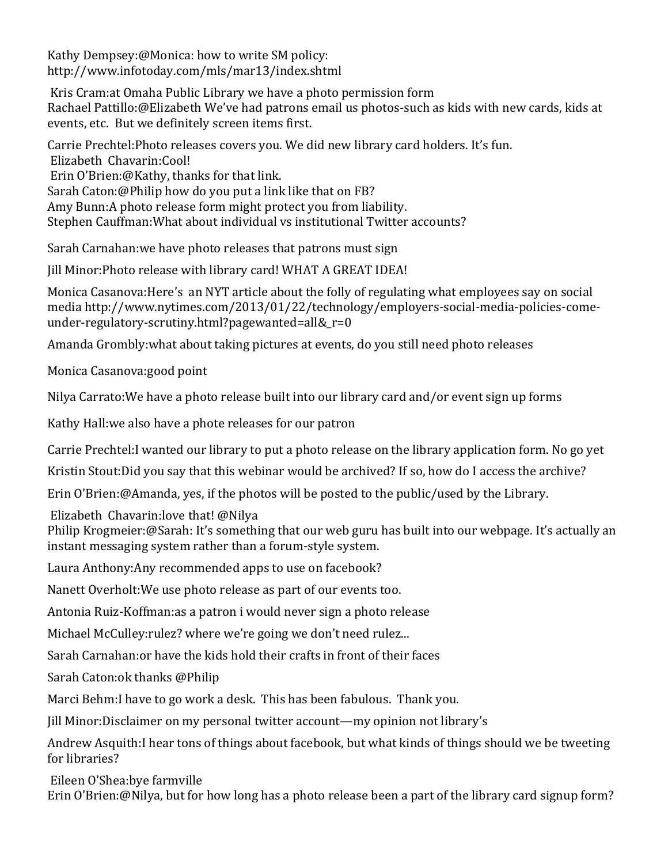Kathy Dempsey:@Monica: how to write SM policy: http://www.infotoday.com/mls/mar13/index.shtml

Kris Cram: at Omaha Public Library we have a photo permission form Rachael Pattillo:@Elizabeth We've had patrons email us photos-such as kids with new cards, kids at events, etc. But we definitely screen items first.

Carrie Prechtel: Photo releases covers you. We did new library card holders. It's fun. Elizabeth Chavarin:Cool! Erin O'Brien:@Kathy, thanks for that link. Sarah Caton:@Philip how do you put a link like that on FB? Amy Bunn: A photo release form might protect you from liability. Stephen Cauffman: What about individual vs institutional Twitter accounts?

Sarah Carnahan: we have photo releases that patrons must sign

Jill Minor: Photo release with library card! WHAT A GREAT IDEA!

Monica Casanova: Here's an NYT article about the folly of regulating what employees say on social media http://www.nytimes.com/2013/01/22/technology/employers-social-media-policies-comeunder-regulatory-scrutiny.html?pagewanted=all&\_r=0

Amanda Grombly: what about taking pictures at events, do you still need photo releases

Monica Casanova: good point

Nilya Carrato: We have a photo release built into our library card and/or event sign up forms

Kathy Hall: we also have a phote releases for our patron

Carrie Prechtel: I wanted our library to put a photo release on the library application form. No go yet

Kristin Stout: Did you say that this webinar would be archived? If so, how do I access the archive?

Erin O'Brien:@Amanda, yes, if the photos will be posted to the public/used by the Library.

Elizabeth Chavarin: love that! @Nilya

Philip Krogmeier:@Sarah: It's something that our web guru has built into our webpage. It's actually an instant messaging system rather than a forum-style system.

Laura Anthony: Any recommended apps to use on facebook?

Nanett Overholt: We use photo release as part of our events too.

Antonia Ruiz-Koffman:as a patron i would never sign a photo release

Michael McCulley: rulez? where we're going we don't need rulez...

Sarah Carnahan: or have the kids hold their crafts in front of their faces

Sarah Caton:ok thanks @Philip

Marci Behm: I have to go work a desk. This has been fabulous. Thank you.

Jill Minor: Disclaimer on my personal twitter account—my opinion not library's

Andrew Asquith: I hear tons of things about facebook, but what kinds of things should we be tweeting for libraries?

Eileen O'Shea:bye farmville

Erin O'Brien:@Nilya, but for how long has a photo release been a part of the library card signup form?